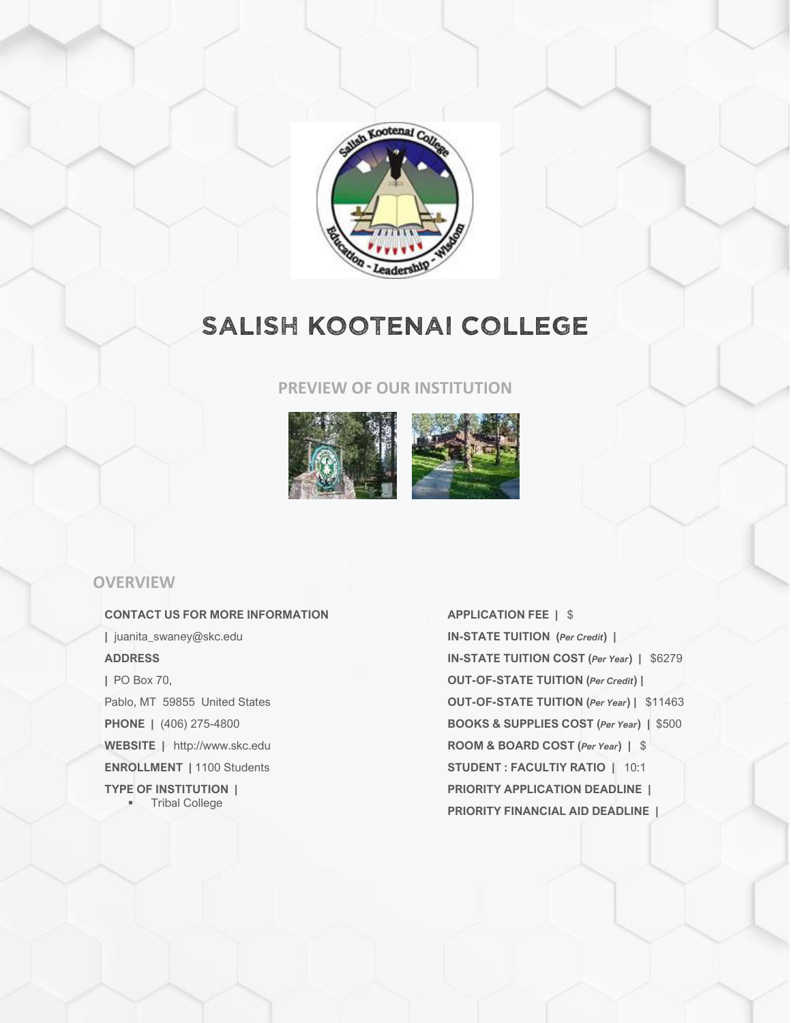

# SALISH KOOTENAI COLLEGE

#### **PREVIEW OF OUR INSTITUTION**



#### **OVERVIEW**

**CONTACT US FOR MORE INFORMATION |** juanita\_swaney@skc.edu **ADDRESS |** PO Box 70, Pablo, MT 59855 United States **PHONE |** (406) 275-4800 **WEBSITE |** http://www.skc.edu **ENROLLMENT |** 1100 Students **TYPE OF INSTITUTION |** ▪ Tribal College

**APPLICATION FEE |** \$ **IN-STATE TUITION (***Per Credit***) | IN-STATE TUITION COST (***Per Year***) |** \$6279 **OUT-OF-STATE TUITION (***Per Credit***) | OUT-OF-STATE TUITION (***Per Year***) |** \$11463 **BOOKS & SUPPLIES COST (***Per Year***) |** \$500 **ROOM & BOARD COST (***Per Year***) |** \$ **STUDENT : FACULTIY RATIO |** 10:1 **PRIORITY APPLICATION DEADLINE | PRIORITY FINANCIAL AID DEADLINE |**